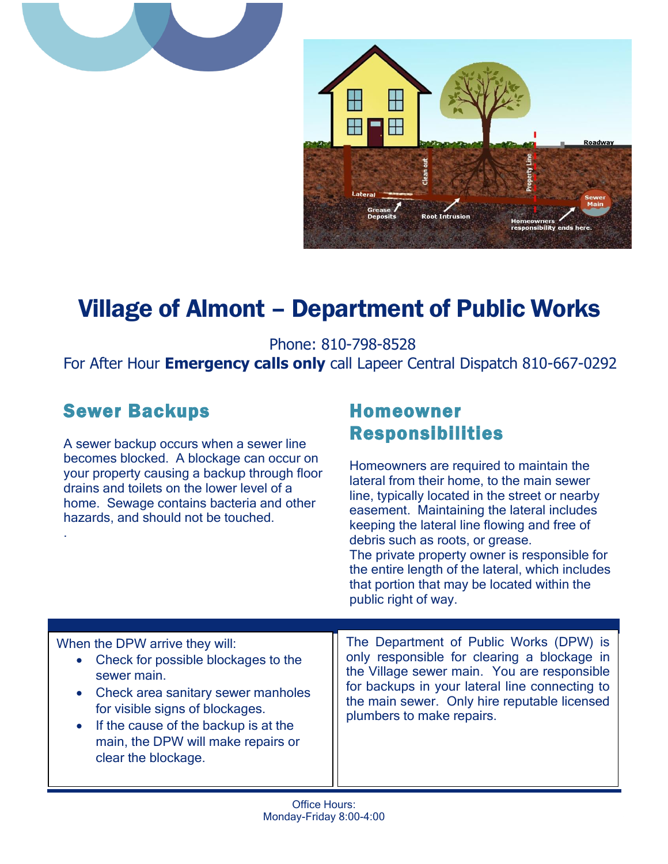



# Village of Almont – Department of Public Works

Phone: 810-798-8528

For After Hour **Emergency calls only** call Lapeer Central Dispatch 810-667-0292

# Sewer Backups

.

A sewer backup occurs when a sewer line becomes blocked. A blockage can occur on your property causing a backup through floor drains and toilets on the lower level of a home. Sewage contains bacteria and other hazards, and should not be touched.

## Homeowner Responsibilities

Homeowners are required to maintain the lateral from their home, to the main sewer line, typically located in the street or nearby easement. Maintaining the lateral includes keeping the lateral line flowing and free of debris such as roots, or grease. The private property owner is responsible for the entire length of the lateral, which includes that portion that may be located within the public right of way.

| When the DPW arrive they will:<br>• Check for possible blockages to the<br>sewer main.<br>• Check area sanitary sewer manholes<br>for visible signs of blockages.<br>If the cause of the backup is at the<br>$\bullet$<br>main, the DPW will make repairs or<br>clear the blockage. | The Department of Public Works (DPW) is<br>only responsible for clearing a blockage in<br>the Village sewer main. You are responsible<br>for backups in your lateral line connecting to<br>the main sewer. Only hire reputable licensed<br>plumbers to make repairs. |
|-------------------------------------------------------------------------------------------------------------------------------------------------------------------------------------------------------------------------------------------------------------------------------------|----------------------------------------------------------------------------------------------------------------------------------------------------------------------------------------------------------------------------------------------------------------------|